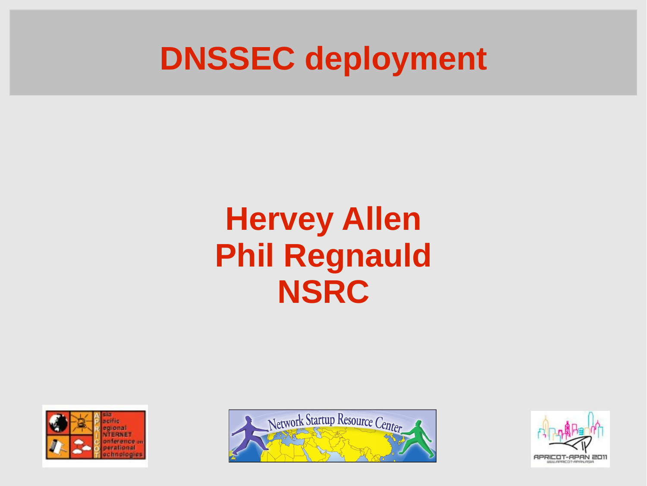### **DNSSEC deployment**

### **Hervey Allen Phil Regnauld NSRC**





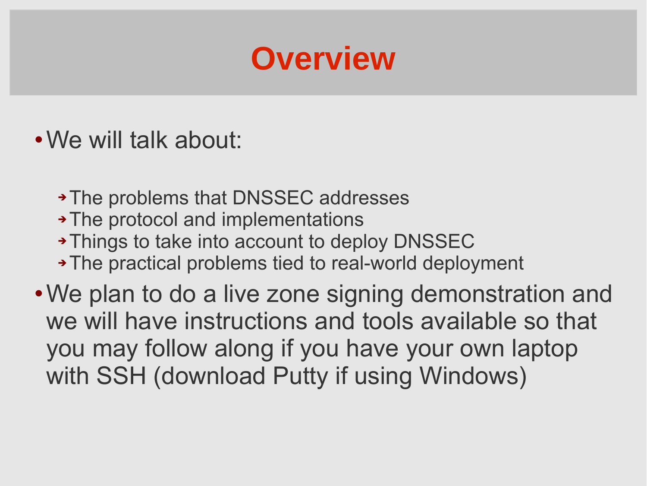### **Overview**

- We will talk about:
	- The problems that DNSSEC addresses
	- The protocol and implementations
	- Things to take into account to deploy DNSSEC
	- The practical problems tied to real-world deployment

We plan to do a live zone signing demonstration and we will have instructions and tools available so that you may follow along if you have your own laptop with SSH (download Putty if using Windows)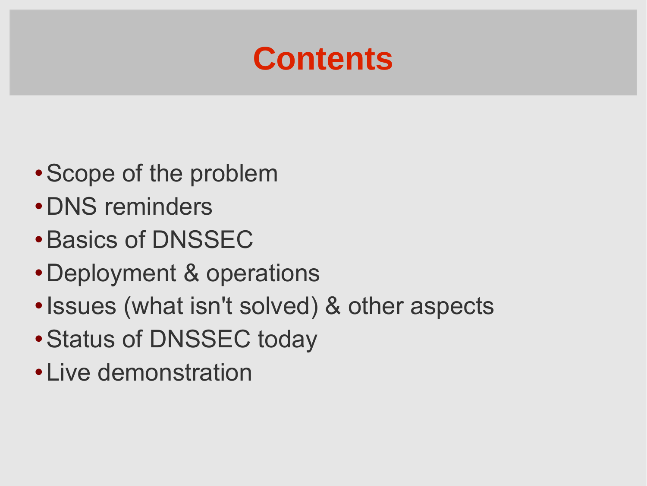### **Contents**

- Scope of the problem
- DNS reminders
- Basics of DNSSEC
- Deployment & operations
- Issues (what isn't solved) & other aspects
- Status of DNSSEC today
- Live demonstration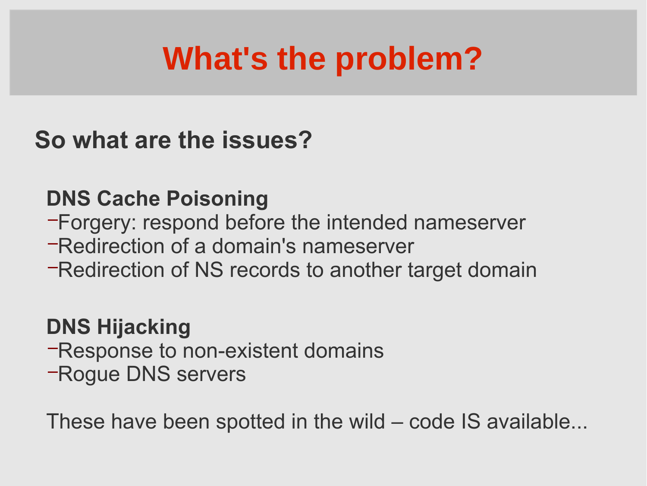## **What's the problem?**

### **So what are the issues?**

#### **DNS Cache Poisoning**

- −Forgery: respond before the intended nameserver
- −Redirection of a domain's nameserver
- −Redirection of NS records to another target domain

### **DNS Hijacking**

- −Response to non-existent domains
- −Rogue DNS servers

These have been spotted in the wild – code IS available...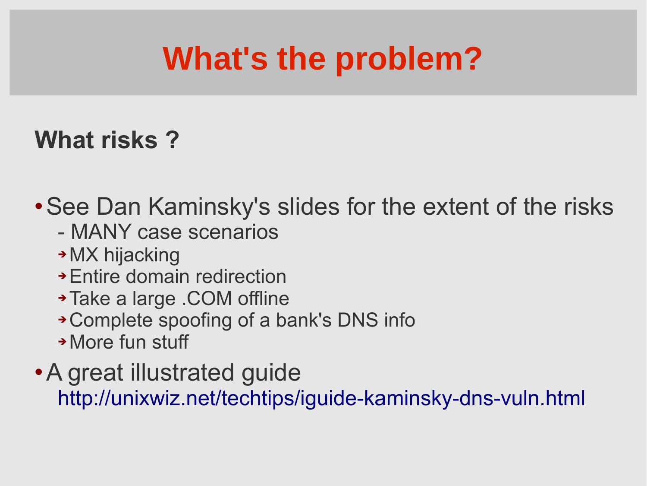## **What's the problem?**

### **What risks ?**

See Dan Kaminsky's slides for the extent of the risks

- MANY case scenarios
- → MX hijacking
- Entire domain redirection
- Take a large .COM offline
- Complete spoofing of a bank's DNS info
- More fun stuff

### A great illustrated guide <http://unixwiz.net/techtips/iguide-kaminsky-dns-vuln.html>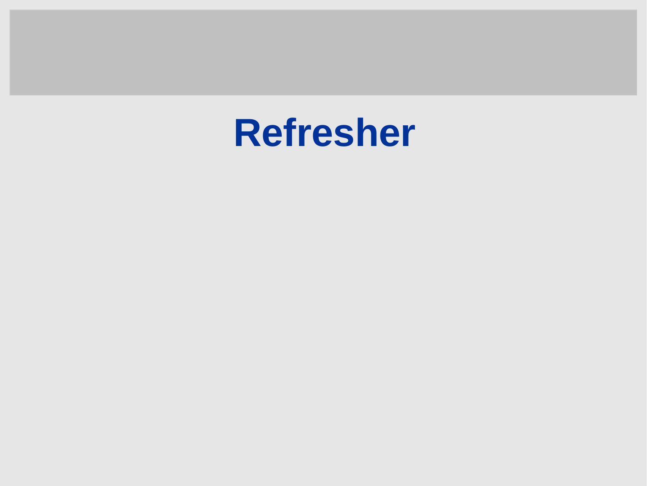# **Refresher**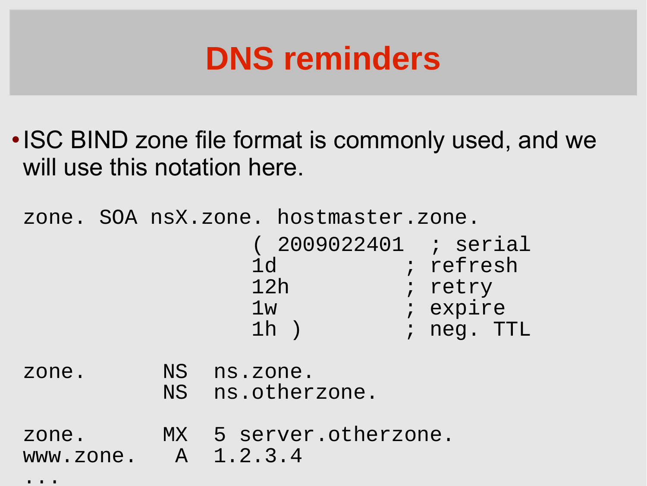### **DNS reminders**

• ISC BIND zone file format is commonly used, and we will use this notation here.

zone. SOA nsX.zone. hostmaster.zone. ( 2009022401 ; serial 1d i refresh 12h ; retry 1w ; expire 1h ) ; neg. TTL zone. NS ns.zone. NS ns.otherzone. zone. MX 5 server.otherzone. www.zone. A 1.2.3.4

 $\bullet\qquad\bullet\qquad\bullet$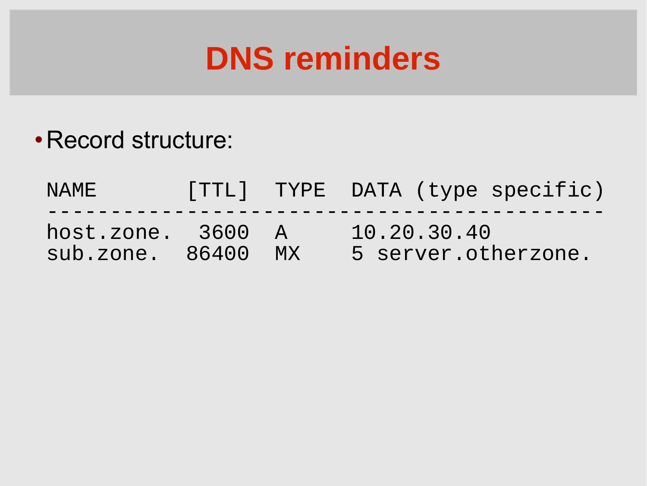### **DNS reminders**

### Record structure:

NAME [TTL] TYPE DATA (type specific) ------------------------------------------- host.zone. 3600 A 10.20.30.40 sub.zone. 86400 MX 5 server.otherzone.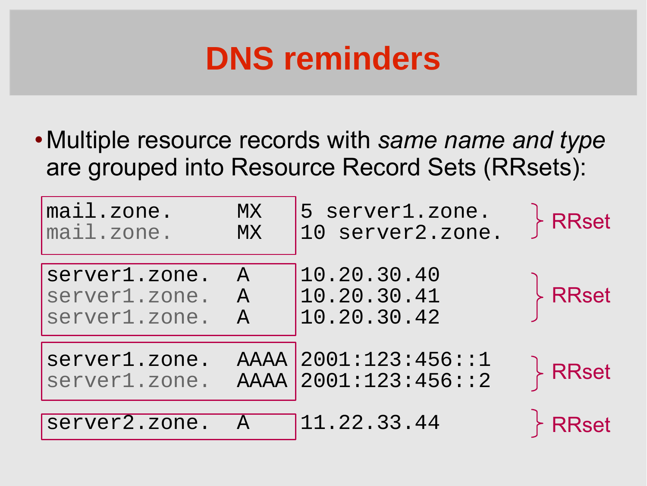### **DNS reminders**

Multiple resource records with *same name and type* are grouped into Resource Record Sets (RRsets):

| mail.zone.                     | <b>MX</b>     | 5 server1.zone.                              | <b>RRset</b>             |
|--------------------------------|---------------|----------------------------------------------|--------------------------|
| mail.zone.                     | <b>MX</b>     | 10 server2.zone.                             |                          |
| server1.zone.                  | $\mathsf{A}$  | 10.20.30.40                                  | <b>RRset</b>             |
| server1.zone.                  | $\mathcal{A}$ | 10.20.30.41                                  |                          |
| server1.zone.                  | $\mathsf{A}$  | 10.20.30.42                                  |                          |
| server1.zone.<br>server1.zone. |               | AAAA 2001:123:456::1<br>AAAA 2001:123:456::2 | $\overline{\big\}$ RRset |
| server2.zone.                  | $\mathsf{A}$  | 11.22.33.44                                  | <b>RRset</b>             |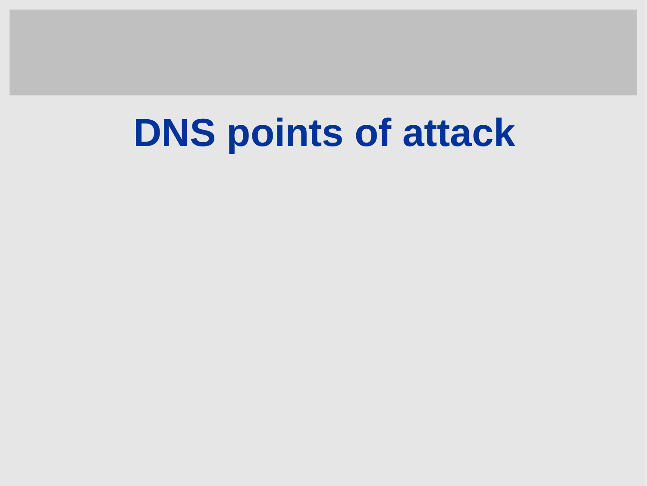# **DNS points of attack**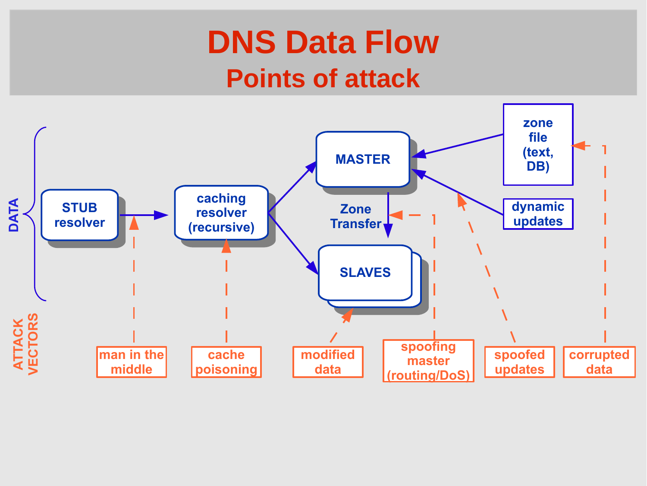### **DNS Data Flow Points of attack**

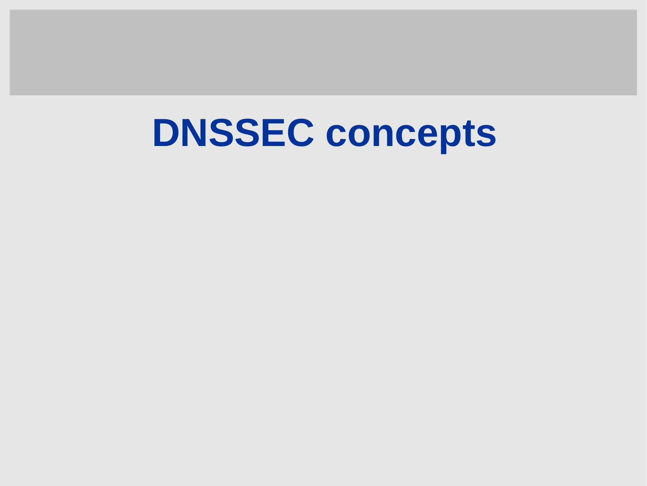# **DNSSEC concepts**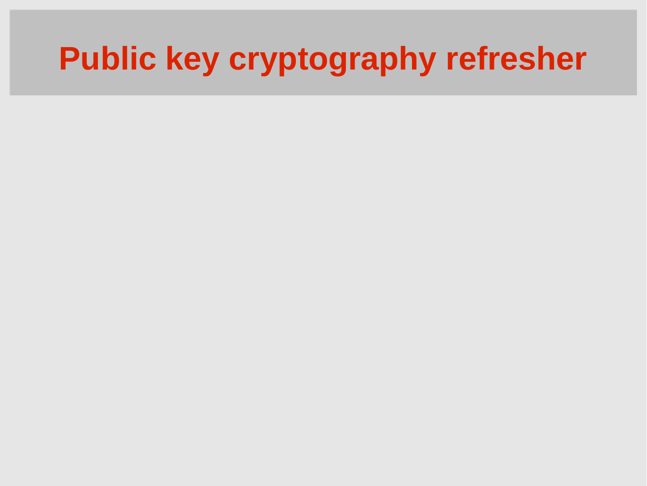## **Public key cryptography refresher**

- 
- 
- -
- 
- 
- 
- -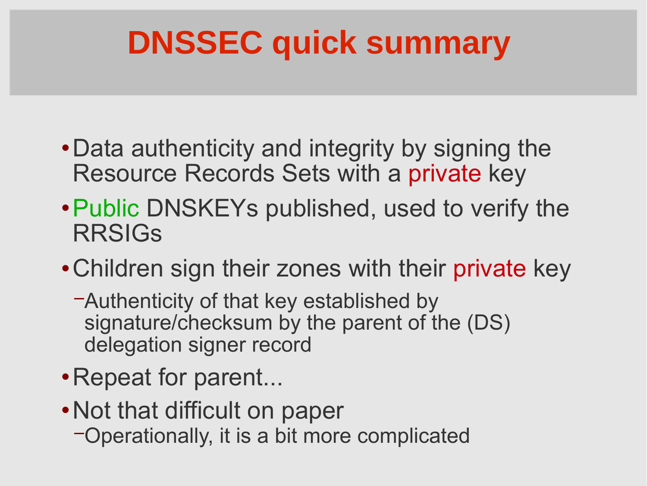# **DNSSEC quick summary**

- Data authenticity and integrity by signing the Resource Records Sets with a private key
- Public DNSKEYs published, used to verify the RRSIGs
- Children sign their zones with their private key
	- −Authenticity of that key established by signature/checksum by the parent of the (DS) delegation signer record
- Repeat for parent...
- Not that difficult on paper
	- −Operationally, it is a bit more complicated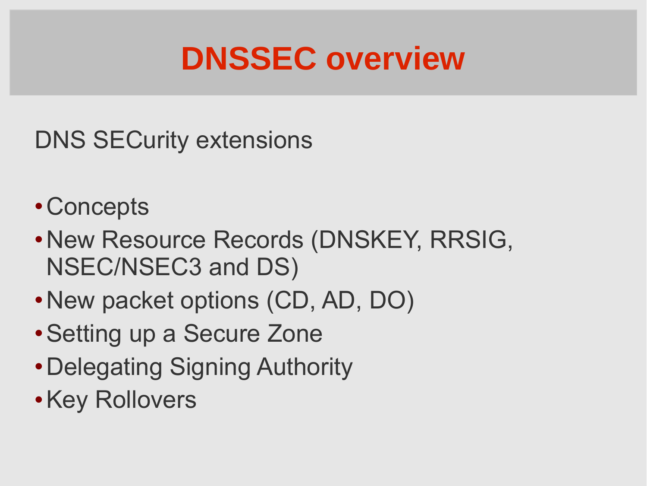### **DNSSEC overview**

- DNS SECurity extensions
- Concepts
- New Resource Records (DNSKEY, RRSIG, NSEC/NSEC3 and DS)
- New packet options (CD, AD, DO)
- Setting up a Secure Zone
- Delegating Signing Authority
- **. Key Rollovers**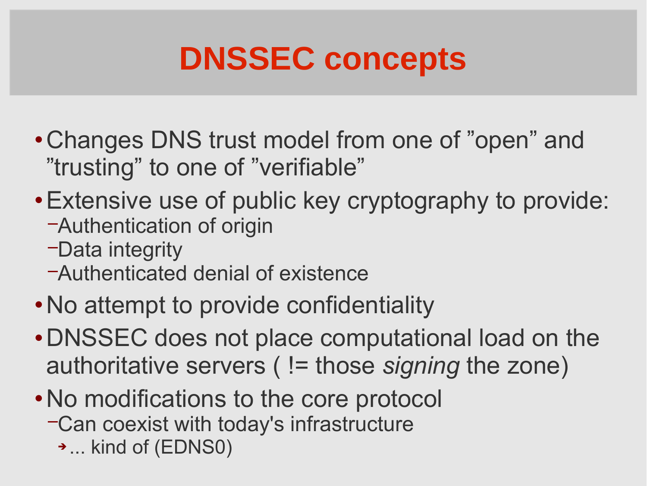### **DNSSEC concepts**

- Changes DNS trust model from one of "open" and "trusting" to one of "verifiable"
- Extensive use of public key cryptography to provide:
	- −Authentication of origin
	- −Data integrity
	- −Authenticated denial of existence
- No attempt to provide confidentiality
- DNSSEC does not place computational load on the authoritative servers ( != those *signing* the zone)
- No modifications to the core protocol
	- −Can coexist with today's infrastructure
		- ... kind of (EDNS0)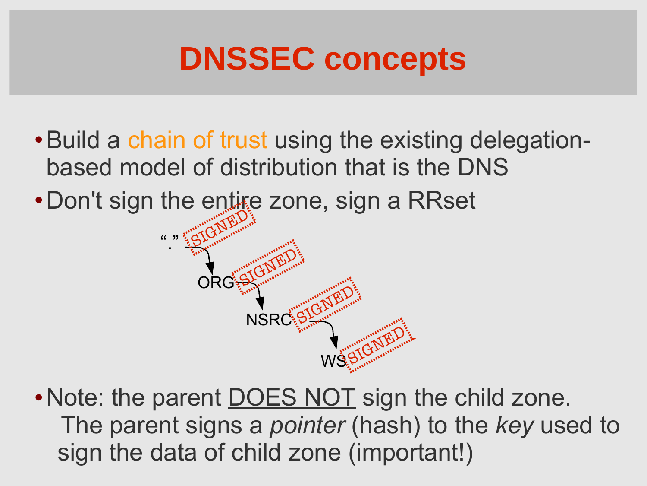### **DNSSEC concepts**

- Build a chain of trust using the existing delegationbased model of distribution that is the DNS
- Don't sign the entire zone, sign a RRset



• Note: the parent DOES NOT sign the child zone. The parent signs a *pointer* (hash) to the *key* used to sign the data of child zone (important!)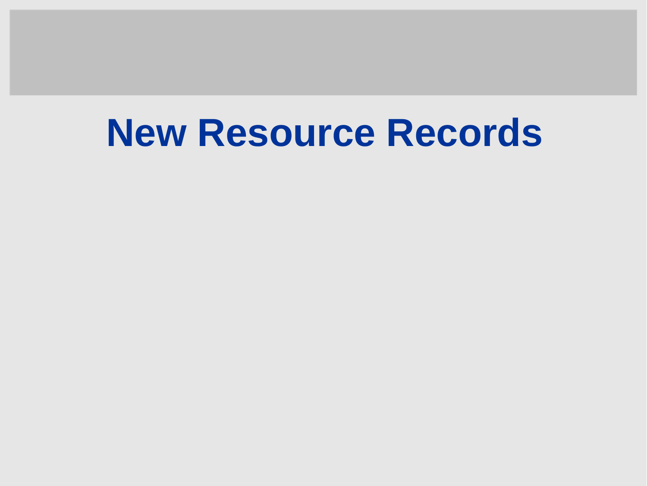# **New Resource Records**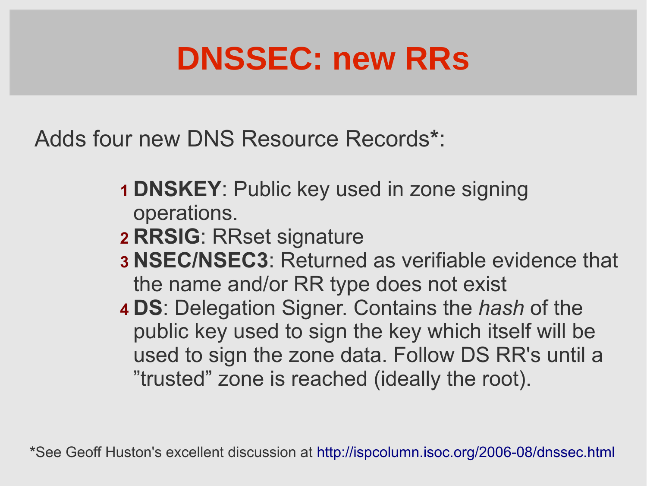### **DNSSEC: new RRs**

Adds four new DNS Resource Records**\***:

- **1 DNSKEY**: Public key used in zone signing operations.
- **2 RRSIG**: RRset signature
- **3 NSEC/NSEC3**: Returned as verifiable evidence that the name and/or RR type does not exist
- **4 DS**: Delegation Signer. Contains the *hash* of the public key used to sign the key which itself will be used to sign the zone data. Follow DS RR's until a "trusted" zone is reached (ideally the root).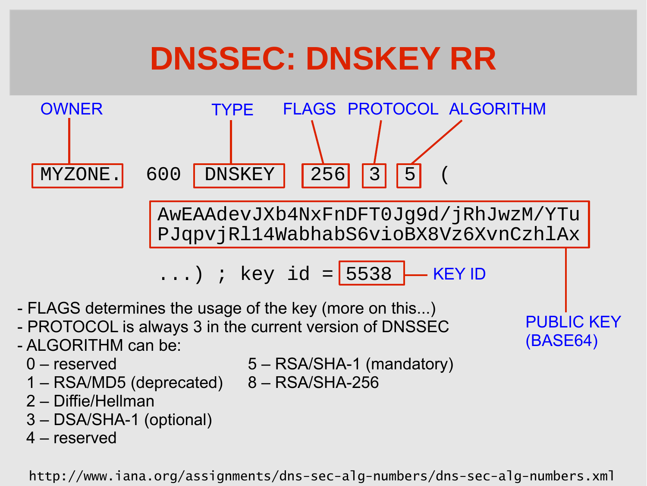### **DNSSEC: DNSKEY RR**



- PROTOCOL is always 3 in the current version of DNSSEC
- ALGORITHM can be:
	-
	- 0 reserved 5 RSA/SHA-1 (mandatory)

(BASE64)

- 1 RSA/MD5 (deprecated) 8 RSA/SHA-256
- 2 Diffie/Hellman
- 3 DSA/SHA-1 (optional)
- 4 reserved

http://www.iana.org/assignments/dns-sec-alg-numbers/dns-sec-alg-numbers.xml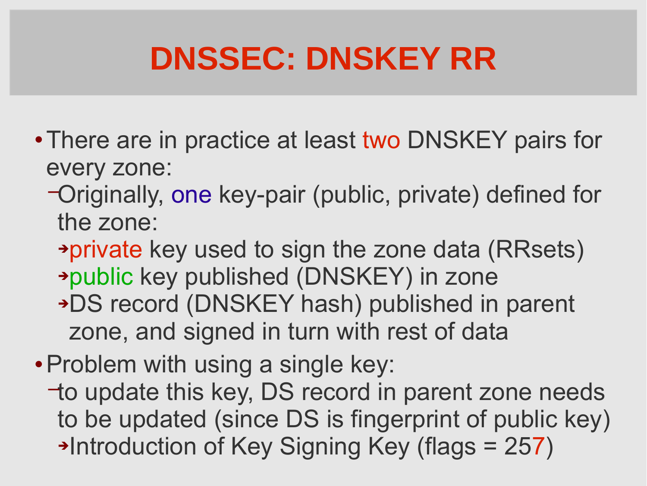### **DNSSEC: DNSKEY RR**

- There are in practice at least two DNSKEY pairs for every zone:
	- −Originally, one key-pair (public, private) defined for the zone:
		- private key used to sign the zone data (RRsets) public key published (DNSKEY) in zone DS record (DNSKEY hash) published in parent zone, and signed in turn with rest of data
- Problem with using a single key:
	- −to update this key, DS record in parent zone needs to be updated (since DS is fingerprint of public key) →Introduction of Key Signing Key (flags = 257)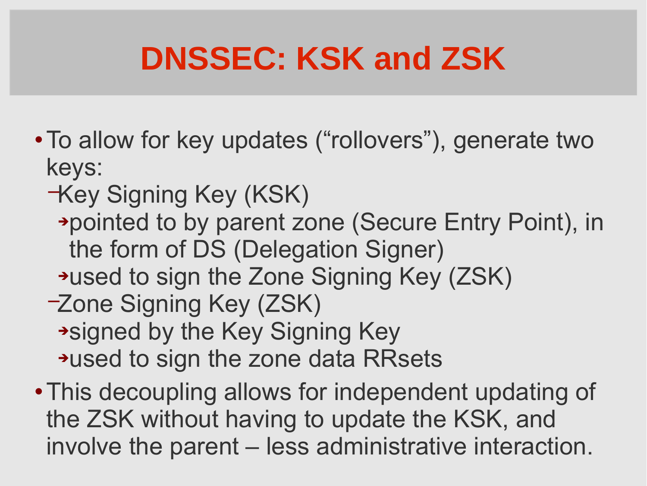## **DNSSEC: KSK and ZSK**

- To allow for key updates ("rollovers"), generate two keys:
	- −Key Signing Key (KSK)
		- pointed to by parent zone (Secure Entry Point), in the form of DS (Delegation Signer)
	- used to sign the Zone Signing Key (ZSK)
	- −Zone Signing Key (ZSK) signed by the Key Signing Key \*used to sign the zone data RRsets
- This decoupling allows for independent updating of the ZSK without having to update the KSK, and involve the parent – less administrative interaction.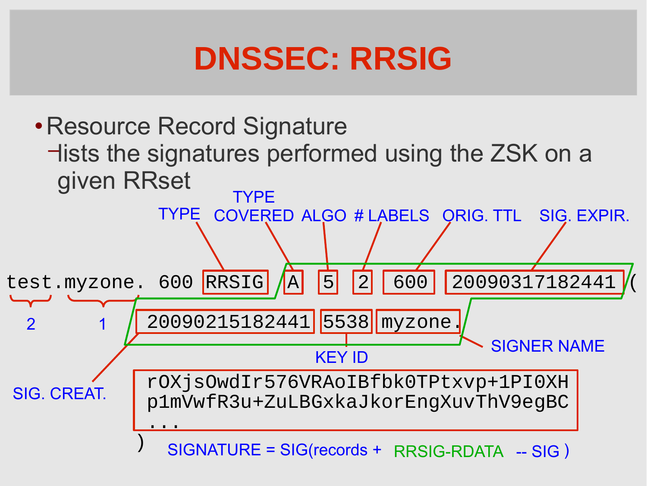### **DNSSEC: RRSIG**

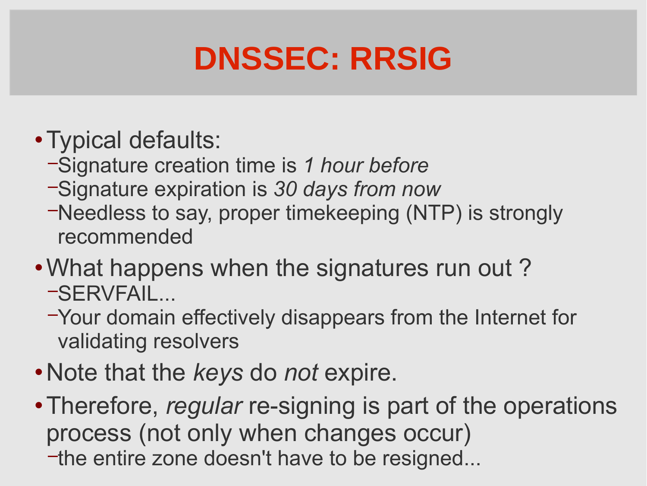### **DNSSEC: RRSIG**

- Typical defaults:
	- −Signature creation time is *1 hour before*
	- −Signature expiration is *30 days from now*
	- −Needless to say, proper timekeeping (NTP) is strongly recommended
- What happens when the signatures run out ? −SERVFAIL...
	- −Your domain effectively disappears from the Internet for validating resolvers
- Note that the *keys* do *not* expire.
- Therefore, *regular* re-signing is part of the operations process (not only when changes occur)
	- − the entire zone doesn't have to be resigned...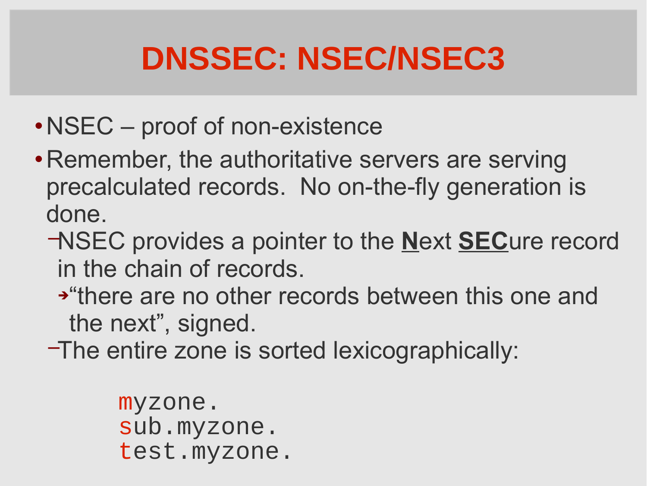- NSEC proof of non-existence
- Remember, the authoritative servers are serving precalculated records. No on-the-fly generation is done.
	- −NSEC provides a pointer to the **N**ext **SEC**ure record in the chain of records.
		- "there are no other records between this one and the next", signed.
	- −The entire zone is sorted lexicographically:

myzone. sub.myzone. test.myzone.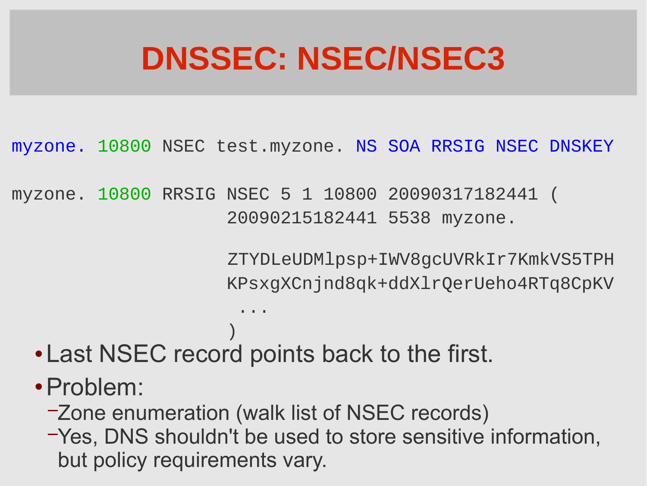myzone. 10800 NSEC test.myzone. NS SOA RRSIG NSEC DNSKEY

myzone. 10800 RRSIG NSEC 5 1 10800 20090317182441 ( 20090215182441 5538 myzone.

> ZTYDLeUDMlpsp+IWV8gcUVRkIr7KmkVS5TPH KPsxgXCnjnd8qk+ddXlrQerUeho4RTq8CpKV

- ) and the contract of  $\mathcal{L}$  and  $\mathcal{L}$  Last NSEC record points back to the first.
	- Problem:

...

- −Zone enumeration (walk list of NSEC records)
- −Yes, DNS shouldn't be used to store sensitive information, but policy requirements vary.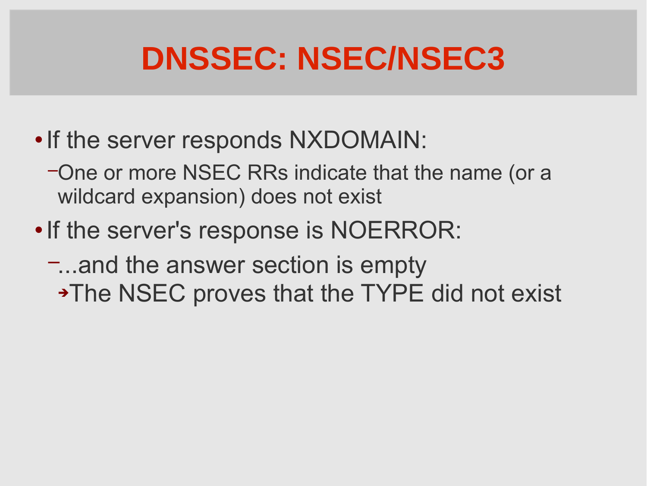- If the server responds NXDOMAIN:
	- −One or more NSEC RRs indicate that the name (or a wildcard expansion) does not exist
- If the server's response is NOERROR:
	- −...and the answer section is empty • The NSEC proves that the TYPE did not exist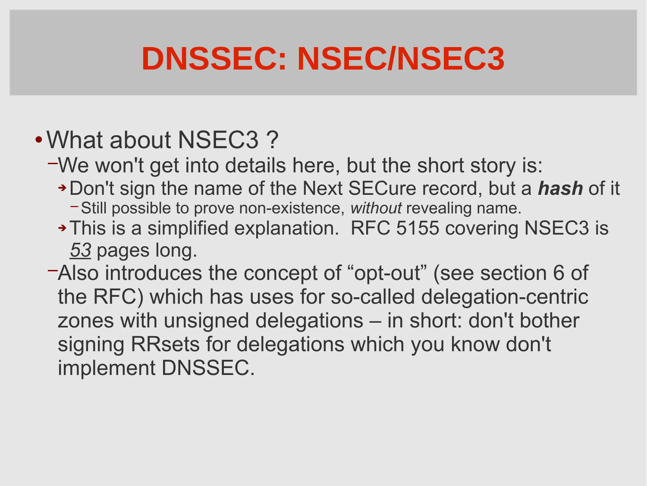### What about NSEC3 ?

−We won't get into details here, but the short story is:

- Don't sign the name of the Next SECure record, but a *hash* of it
	- − Still possible to prove non-existence, *without* revealing name.
- This is a simplified explanation. RFC 5155 covering NSEC3 is *53* pages long.
- −Also introduces the concept of "opt-out" (see section 6 of the RFC) which has uses for so-called delegation-centric zones with unsigned delegations – in short: don't bother signing RRsets for delegations which you know don't implement DNSSEC.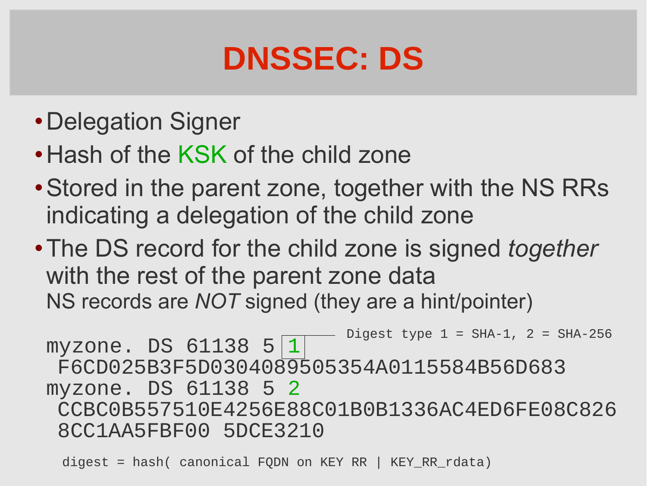### **DNSSEC: DS**

- Delegation Signer
- Hash of the KSK of the child zone
- Stored in the parent zone, together with the NS RRs indicating a delegation of the child zone
- The DS record for the child zone is signed *together* with the rest of the parent zone data NS records are *NOT* signed (they are a hint/pointer)

myzone. DS 61138 5 1 F6CD025B3F5D0304089505354A0115584B56D683 myzone. DS 61138 5 2 CCBC0B557510E4256E88C01B0B1336AC4ED6FE08C826 8CC1AA5FBF00 5DCE3210 Digest type  $1 = SHA-1$ ,  $2 = SHA-256$ 

digest = hash( canonical FQDN on KEY RR | KEY RR rdata)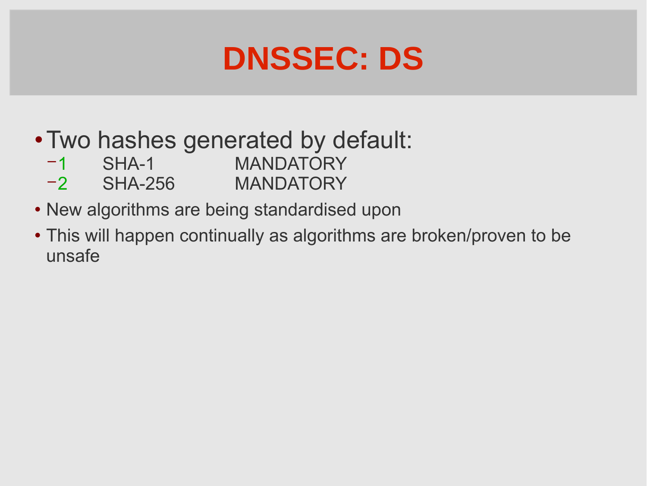### **DNSSEC: DS**

- Two hashes generated by default:
	- − 1 SHA-1 MANDATORY
	- − 2 SHA-256 MANDATORY
- New algorithms are being standardised upon
- This will happen continually as algorithms are broken/proven to be unsafe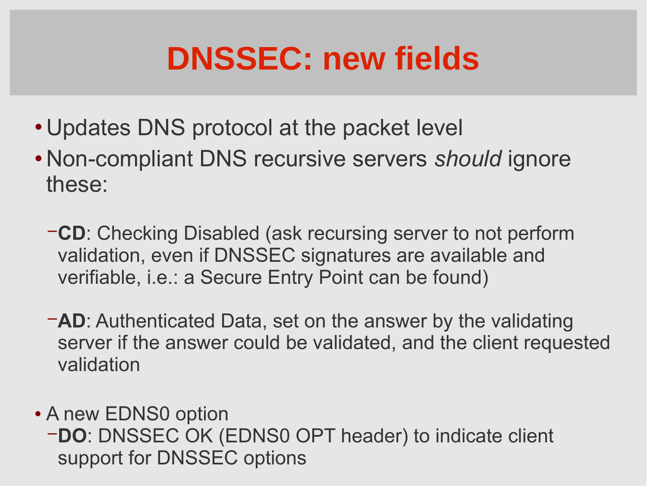### **DNSSEC: new fields**

- Updates DNS protocol at the packet level
- Non-compliant DNS recursive servers *should* ignore these:
	- − **CD**: Checking Disabled (ask recursing server to not perform validation, even if DNSSEC signatures are available and verifiable, i.e.: a Secure Entry Point can be found)
	- − **AD**: Authenticated Data, set on the answer by the validating server if the answer could be validated, and the client requested validation
- A new EDNS0 option
	- − **DO**: DNSSEC OK (EDNS0 OPT header) to indicate client support for DNSSEC options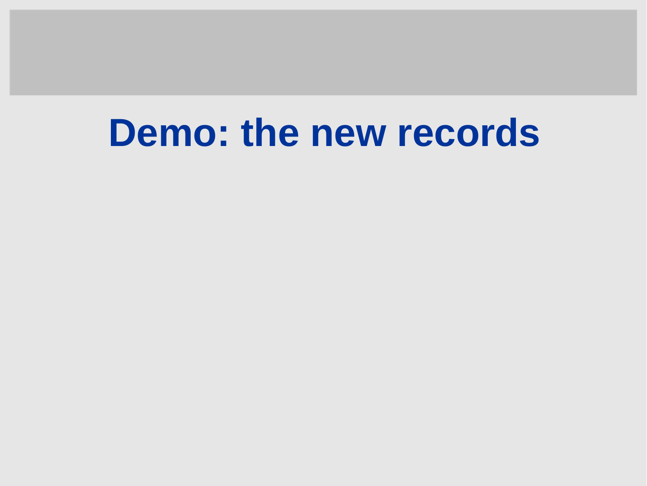## **Demo: the new records**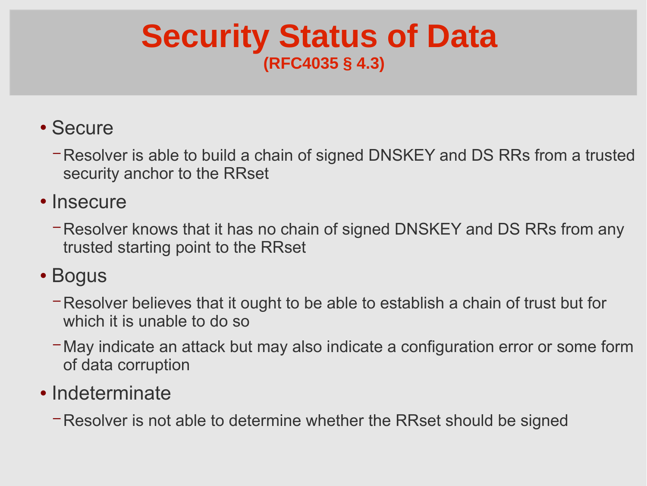### **Security Status of Data (RFC4035 § 4.3)**

#### • Secure

- − Resolver is able to build a chain of signed DNSKEY and DS RRs from a trusted security anchor to the RRset
- Insecure
	- − Resolver knows that it has no chain of signed DNSKEY and DS RRs from any trusted starting point to the RRset

#### • Bogus

- − Resolver believes that it ought to be able to establish a chain of trust but for which it is unable to do so
- − May indicate an attack but may also indicate a configuration error or some form of data corruption

#### • Indeterminate

− Resolver is not able to determine whether the RRset should be signed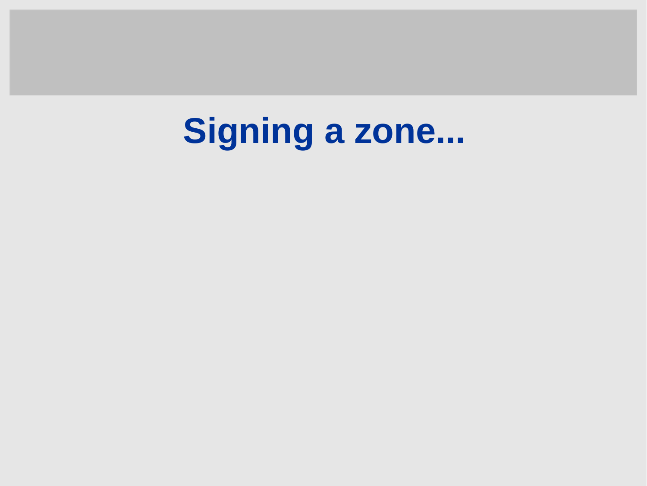# **Signing a zone...**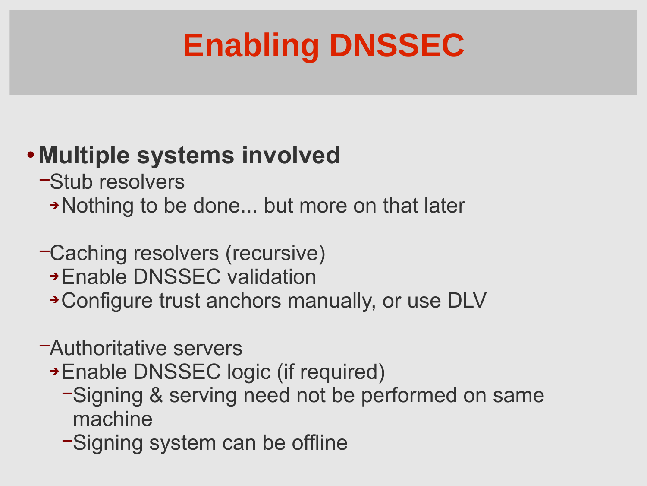# **Enabling DNSSEC**

### **Multiple systems involved**

- −Stub resolvers
	- Nothing to be done... but more on that later

#### −Caching resolvers (recursive)

- Enable DNSSEC validation
- Configure trust anchors manually, or use DLV

#### −Authoritative servers

- Enable DNSSEC logic (if required)
	- −Signing & serving need not be performed on same machine
	- −Signing system can be offline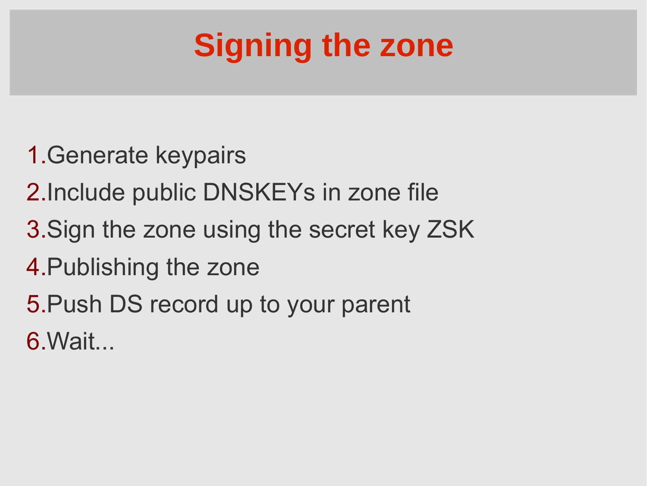# **Signing the zone**

- 1.Generate keypairs
- 2.Include public DNSKEYs in zone file
- 3.Sign the zone using the secret key ZSK
- 4.Publishing the zone
- 5.Push DS record up to your parent
- 6.Wait...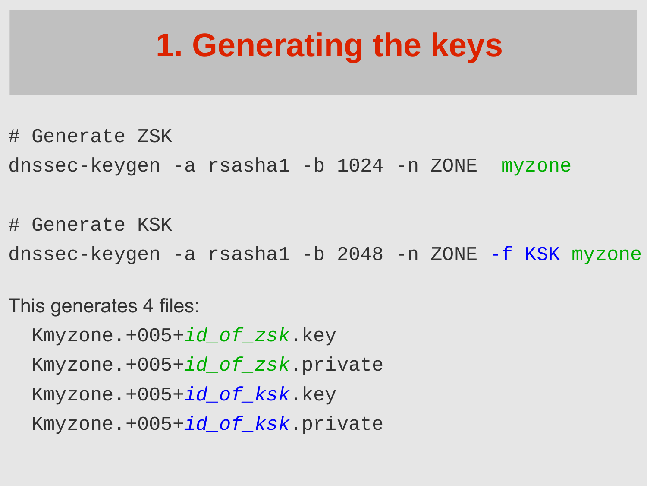### **1. Generating the keys**

- # Generate ZSK
- dnssec-keygen -a rsasha1 -b 1024 -n ZONE myzone
- # Generate KSK
- dnssec-keygen -a rsasha1 -b 2048 -n ZONE -f KSK myzone
- This generates 4 files:
	- Kmyzone.+005+id\_of\_zsk.key
	- Kmyzone.+005+id\_of\_zsk.private
	- Kmyzone.+005+*id\_of\_ksk*.key
	- Kmyzone.+005+id\_of\_ksk.private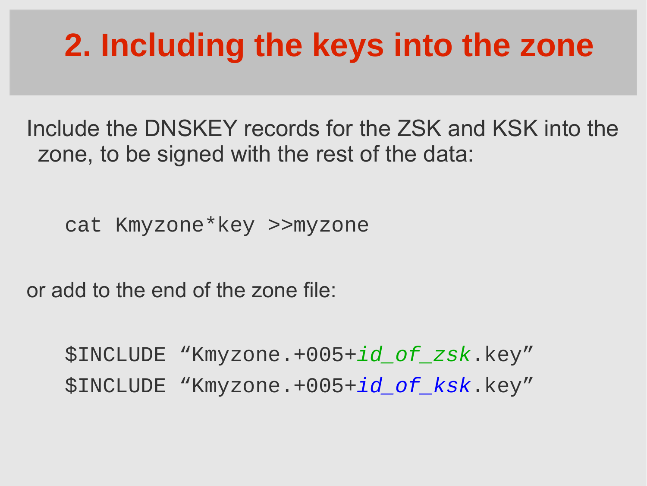## **2. Including the keys into the zone**

Include the DNSKEY records for the ZSK and KSK into the zone, to be signed with the rest of the data:

cat Kmyzone\*key >>myzone

or add to the end of the zone file:

 \$INCLUDE "Kmyzone.+005+id\_of\_zsk.key" \$INCLUDE "Kmyzone.+005+id\_of\_ksk.key"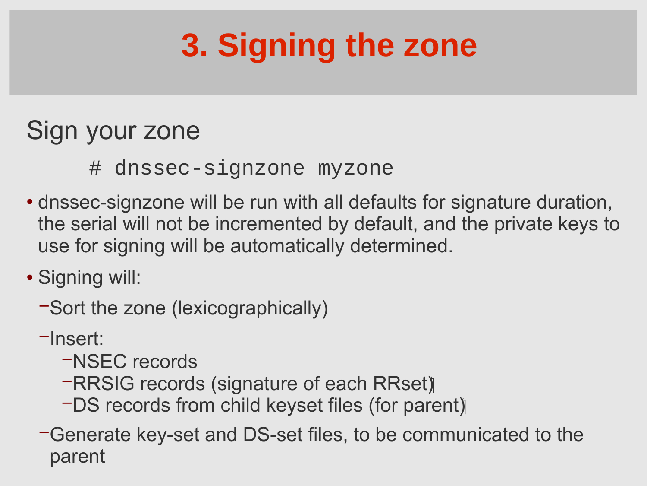# **3. Signing the zone**

### Sign your zone

- # dnssec-signzone myzone
- dnssec-signzone will be run with all defaults for signature duration, the serial will not be incremented by default, and the private keys to use for signing will be automatically determined.
- Signing will:
	- − Sort the zone (lexicographically)
	- − Insert:
		- − NSEC records
		- − RRSIG records (signature of each RRset)
		- − DS records from child keyset files (for parent)
	- − Generate key-set and DS-set files, to be communicated to the parent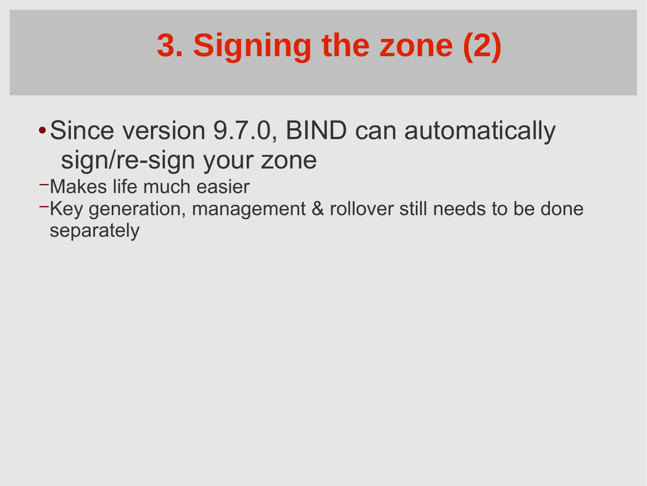# **3. Signing the zone (2)**

- Since version 9.7.0, BIND can automatically sign/re-sign your zone
- − Makes life much easier
- − Key generation, management & rollover still needs to be done separately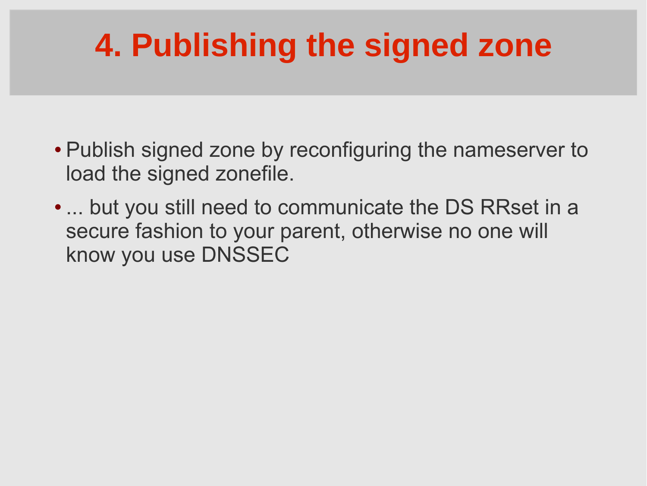# **4. Publishing the signed zone**

- Publish signed zone by reconfiguring the nameserver to load the signed zonefile.
- ... but you still need to communicate the DS RRset in a secure fashion to your parent, otherwise no one will know you use DNSSEC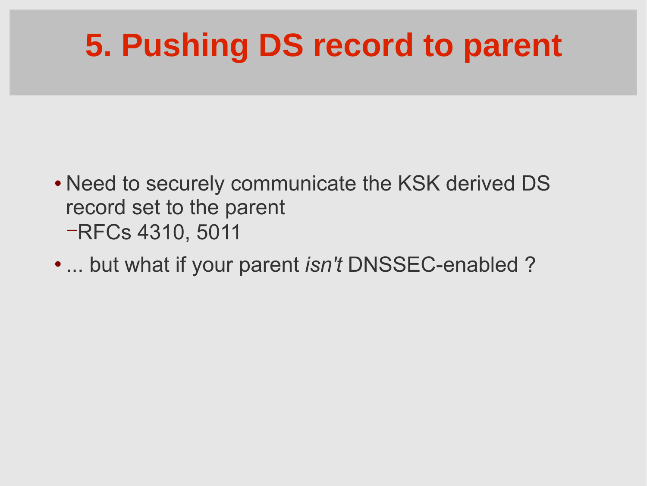## **5. Pushing DS record to parent**

- Need to securely communicate the KSK derived DS record set to the parent −RFCs 4310, 5011
- ... but what if your parent *isn't* DNSSEC-enabled ?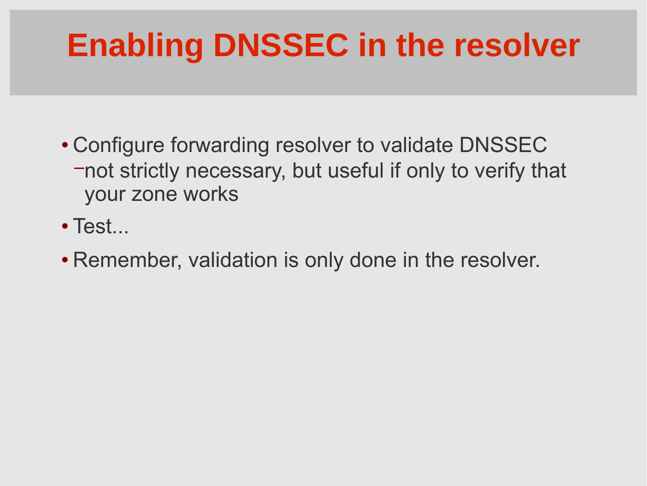## **Enabling DNSSEC in the resolver**

- Configure forwarding resolver to validate DNSSEC −not strictly necessary, but useful if only to verify that your zone works
- Test...
- Remember, validation is only done in the resolver.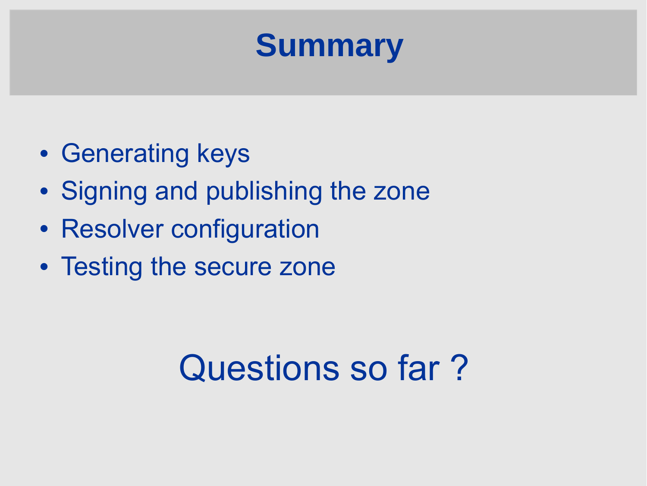

- Generating keys
- Signing and publishing the zone
- Resolver configuration
- Testing the secure zone

# Questions so far?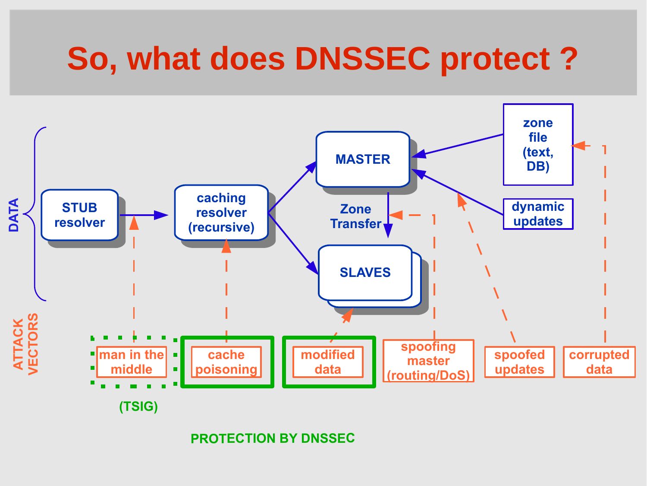### **So, what does DNSSEC protect ?**



**PROTECTION BY DNSSEC**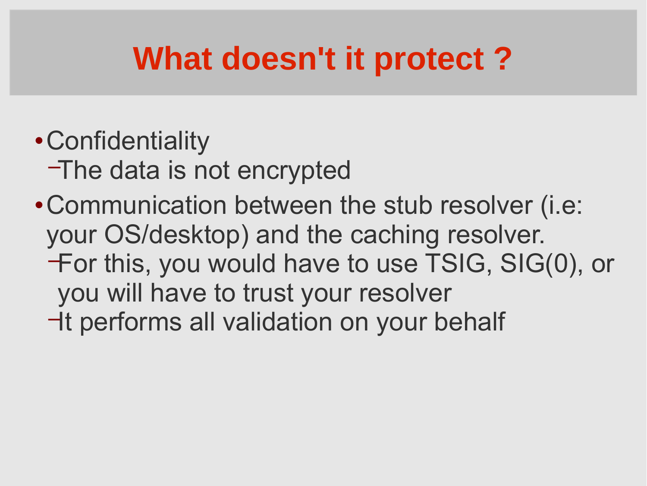## **What doesn't it protect ?**

- Confidentiality
	- −The data is not encrypted
- Communication between the stub resolver (i.e: your OS/desktop) and the caching resolver. −For this, you would have to use TSIG, SIG(0), or you will have to trust your resolver
	- −It performs all validation on your behalf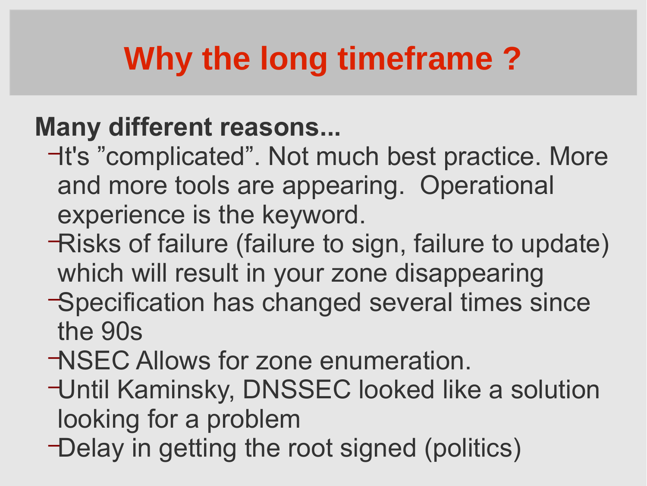# **Why the long timeframe ?**

### **Many different reasons...**

- −It's "complicated". Not much best practice. More and more tools are appearing. Operational experience is the keyword.
- −Risks of failure (failure to sign, failure to update) which will result in your zone disappearing
- −Specification has changed several times since the 90s
- −NSEC Allows for zone enumeration.
- −Until Kaminsky, DNSSEC looked like a solution looking for a problem
- −Delay in getting the root signed (politics)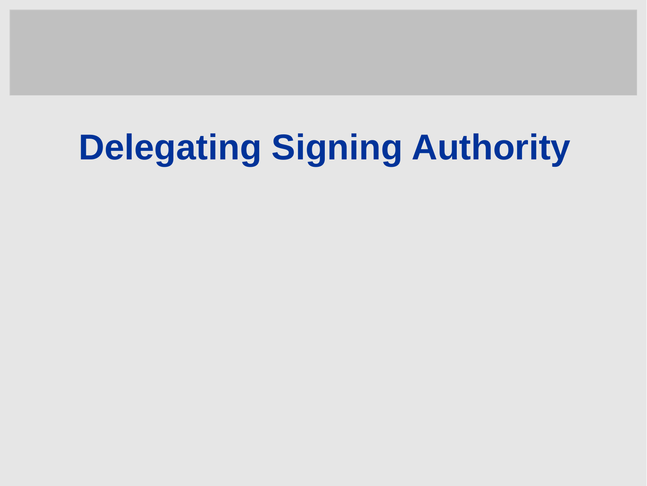# **Delegating Signing Authority**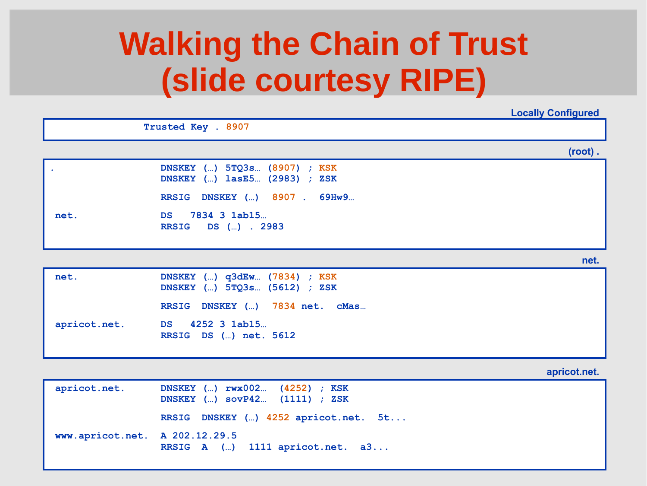### **Walking the Chain of Trust (slide courtesy RIPE)**

**Locally Configured**

**(root) . Trusted Key . 8907 . DNSKEY (…) 5TQ3s… (8907) ; KSK DNSKEY (…) lasE5… (2983) ; ZSK RRSIG DNSKEY (…) 8907 . 69Hw9… net. DS 7834 3 1ab15… RRSIG DS (…) . 2983**

**net.**

| net.         | DNSKEY $()$ q3dEw (7834) ; KSK<br>DNSKEY () 5TQ3s (5612) ; ZSK |
|--------------|----------------------------------------------------------------|
|              | RRSIG DNSKEY () 7834 net. cMas                                 |
| apricot.net. | DS 4252 3 1ab15                                                |
|              | RRSIG DS () net. 5612                                          |

**apricot.net.**

| apricot.net.                   | DNSKEY () rwx002 (4252) ; KSK<br>DNSKEY () sovP42 (1111) ; ZSK |
|--------------------------------|----------------------------------------------------------------|
|                                | RRSIG DNSKEY () 4252 apricot.net. 5t                           |
| www.apricot.net. A 202.12.29.5 | RRSIG $A$ () 1111 apricot.net. a3                              |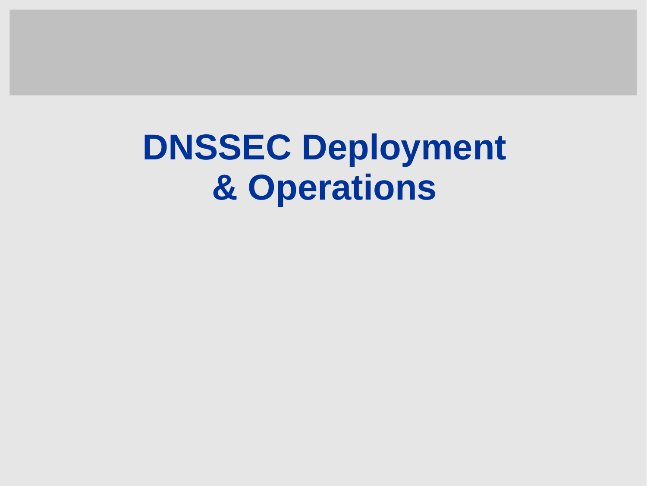# **DNSSEC Deployment & Operations**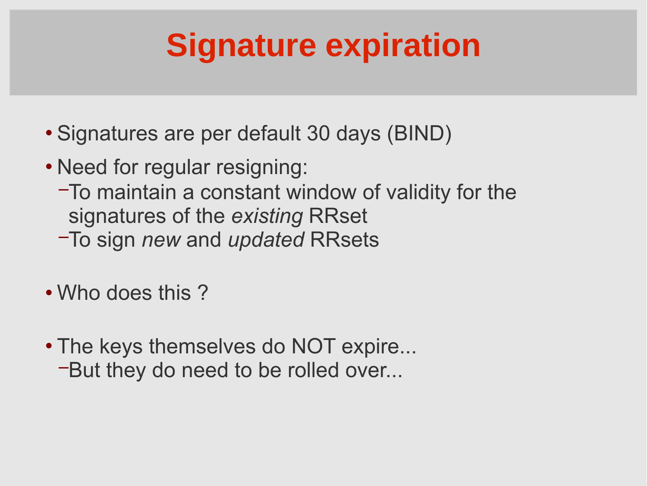## **Signature expiration**

- Signatures are per default 30 days (BIND)
- Need for regular resigning:
	- −To maintain a constant window of validity for the signatures of the *existing* RRset
	- −To sign *new* and *updated* RRsets
- Who does this ?
- The keys themselves do NOT expire... −But they do need to be rolled over...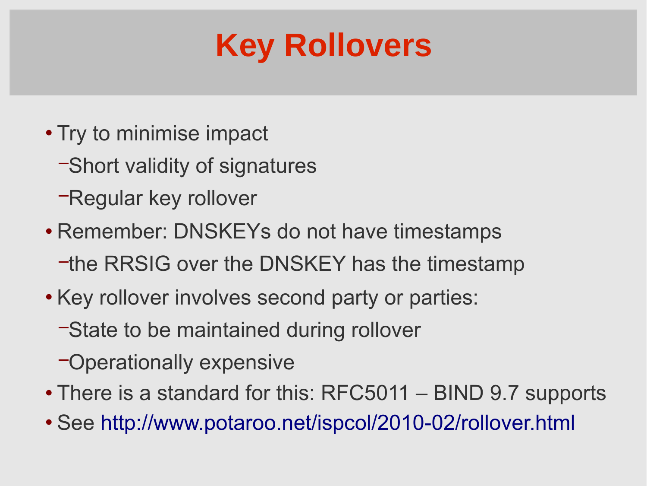### **Key Rollovers**

- Try to minimise impact
	- −Short validity of signatures
	- −Regular key rollover
- Remember: DNSKEYs do not have timestamps − the RRSIG over the DNSKEY has the timestamp
- Key rollover involves second party or parties:
	- −State to be maintained during rollover
	- −Operationally expensive
- There is a standard for this: RFC5011 BIND 9.7 supports
- See <http://www.potaroo.net/ispcol/2010-02/rollover.html>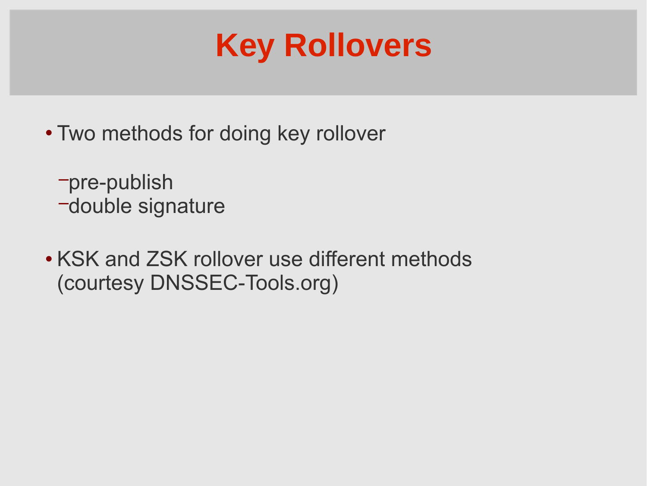

- Two methods for doing key rollover
	- −pre-publish
	- −double signature
- KSK and ZSK rollover use different methods (courtesy DNSSEC-Tools.org)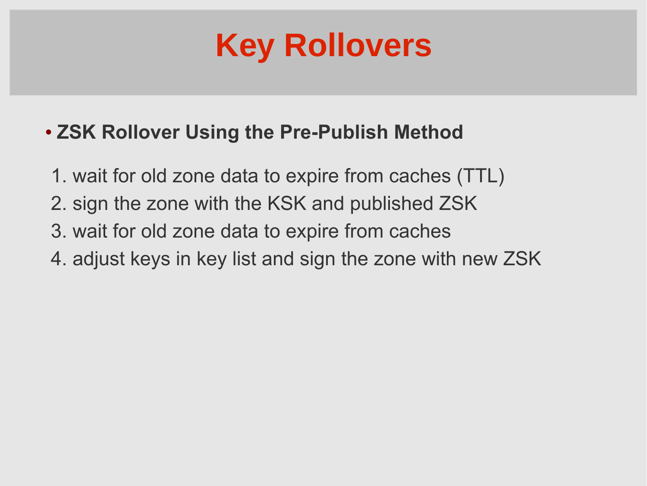

#### **ZSK Rollover Using the Pre-Publish Method**

- 1. wait for old zone data to expire from caches (TTL)
- 2. sign the zone with the KSK and published ZSK
- 3. wait for old zone data to expire from caches
- 4. adjust keys in key list and sign the zone with new ZSK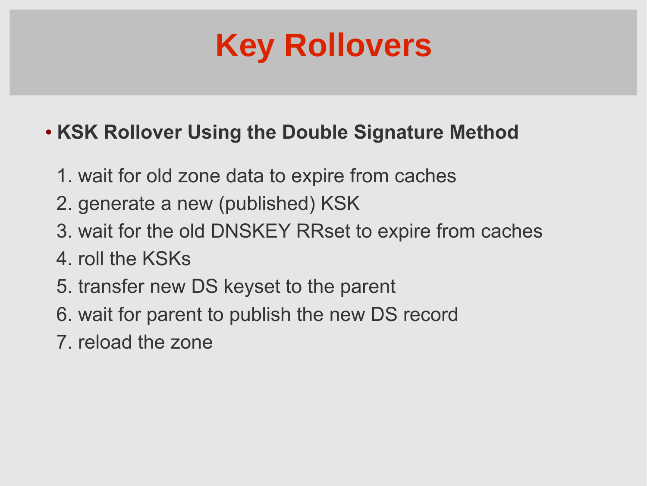

#### **KSK Rollover Using the Double Signature Method**

- 1. wait for old zone data to expire from caches
- 2. generate a new (published) KSK
- 3. wait for the old DNSKEY RRset to expire from caches
- 4. roll the KSKs
- 5. transfer new DS keyset to the parent
- 6. wait for parent to publish the new DS record
- 7. reload the zone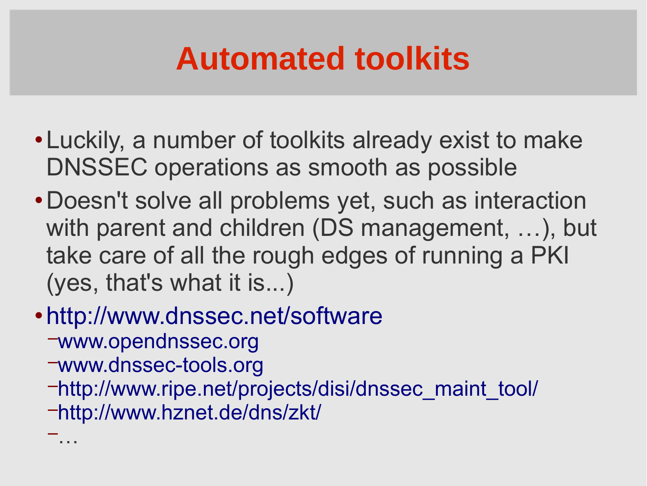## **Automated toolkits**

- Luckily, a number of toolkits already exist to make DNSSEC operations as smooth as possible
- Doesn't solve all problems yet, such as interaction with parent and children (DS management, ...), but take care of all the rough edges of running a PKI (yes, that's what it is...)
- <http://www.dnssec.net/software>
	- −[www.opendnssec.org](http://www.opendnssec.org/)
	- −[www.dnssec-tools.org](http://www.dnssec-tools.org/)

−…

- −[http://www.ripe.net/projects/disi/dnssec\\_maint\\_tool/](http://www.ripe.net/projects/disi/dnssec_maint_tool/)
- −<http://www.hznet.de/dns/zkt/>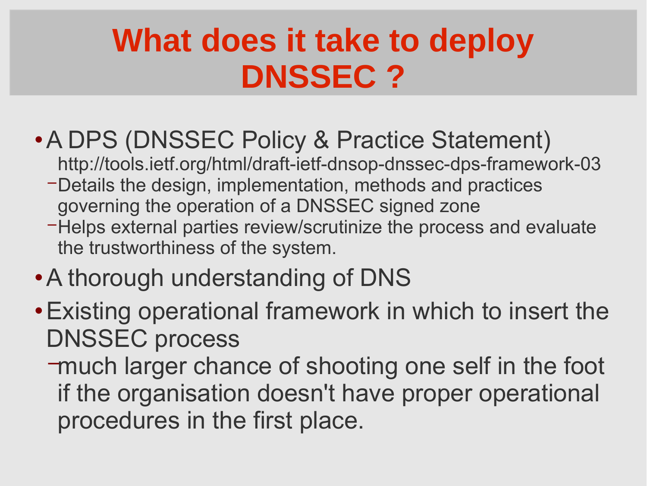### **What does it take to deploy DNSSEC ?**

- A DPS (DNSSEC Policy & Practice Statement)
	- http://tools.ietf.org/html/draft-ietf-dnsop-dnssec-dps-framework-03
	- − Details the design, implementation, methods and practices governing the operation of a DNSSEC signed zone
	- − Helps external parties review/scrutinize the process and evaluate the trustworthiness of the system.
- A thorough understanding of DNS
- Existing operational framework in which to insert the DNSSEC process
	- −much larger chance of shooting one self in the foot if the organisation doesn't have proper operational procedures in the first place.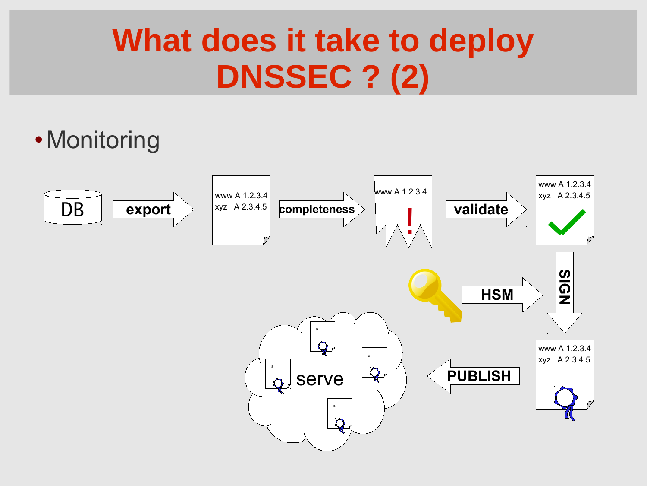## **What does it take to deploy DNSSEC ? (2)**

• Monitoring

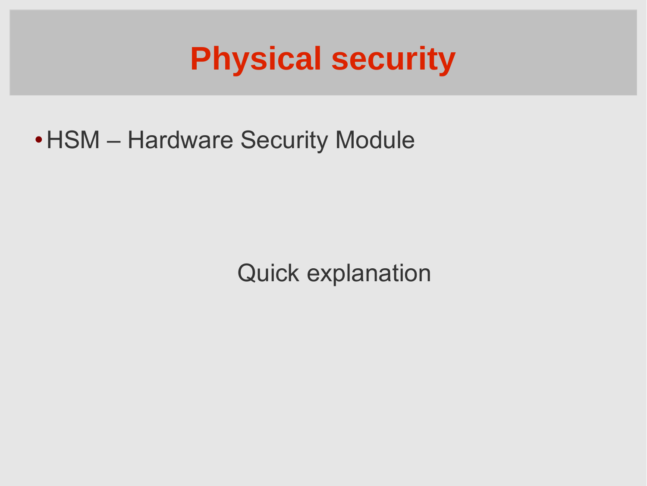### **Physical security**

• HSM – Hardware Security Module

Quick explanation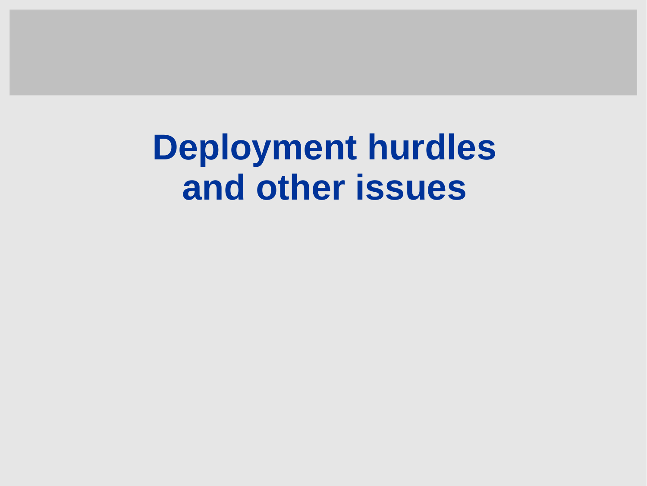**Deployment hurdles and other issues**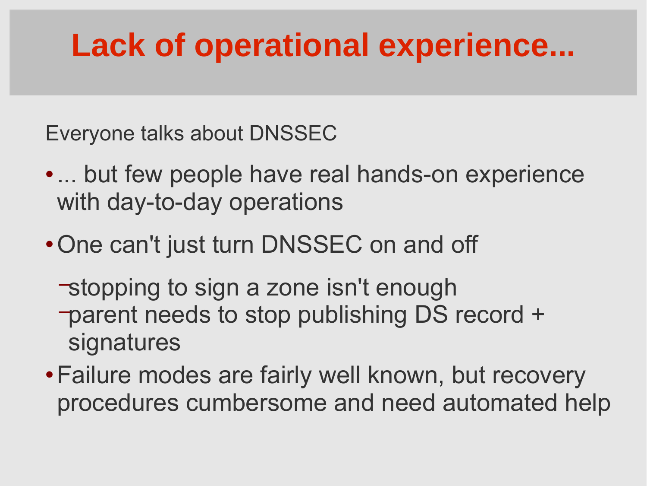## **Lack of operational experience...**

Everyone talks about DNSSEC

- ... but few people have real hands-on experience with day-to-day operations
- One can't just turn DNSSEC on and off
	- −stopping to sign a zone isn't enough −parent needs to stop publishing DS record + signatures
- Failure modes are fairly well known, but recovery procedures cumbersome and need automated help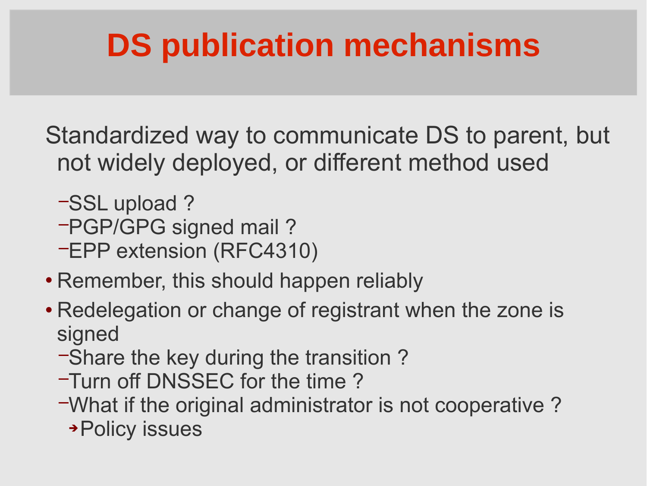## **DS publication mechanisms**

Standardized way to communicate DS to parent, but not widely deployed, or different method used

- −SSL upload ?
- −PGP/GPG signed mail ?
- −EPP extension (RFC4310)
- Remember, this should happen reliably
- Redelegation or change of registrant when the zone is signed
	- −Share the key during the transition ?
	- −Turn off DNSSEC for the time ?
	- −What if the original administrator is not cooperative ? Policy issues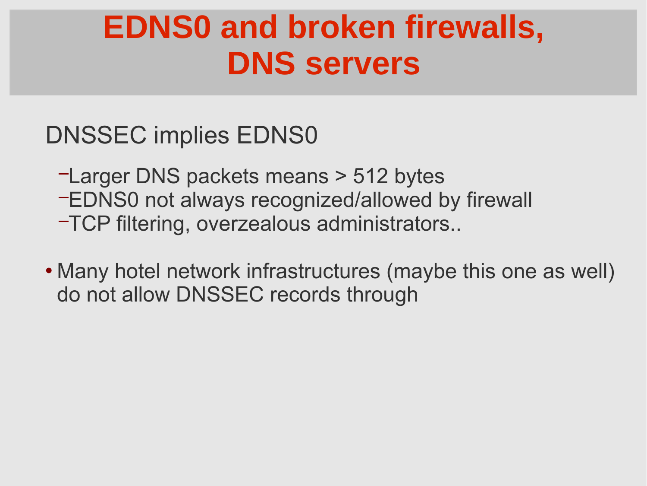### **EDNS0 and broken firewalls, DNS servers**

DNSSEC implies EDNS0

- −Larger DNS packets means > 512 bytes
- −EDNS0 not always recognized/allowed by firewall
- −TCP filtering, overzealous administrators..
- Many hotel network infrastructures (maybe this one as well) do not allow DNSSEC records through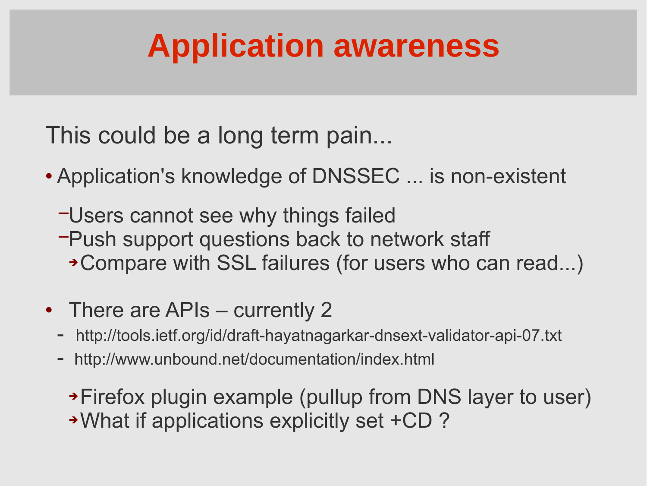## **Application awareness**

This could be a long term pain...

- Application's knowledge of DNSSEC ... is non-existent
	- −Users cannot see why things failed
	- −Push support questions back to network staff Compare with SSL failures (for users who can read...)
- There are APIs currently 2
	- http://tools.ietf.org/id/draft-hayatnagarkar-dnsext-validator-api-07.txt
	- http://www.unbound.net/documentation/index.html

Firefox plugin example (pullup from DNS layer to user) What if applications explicitly set +CD ?